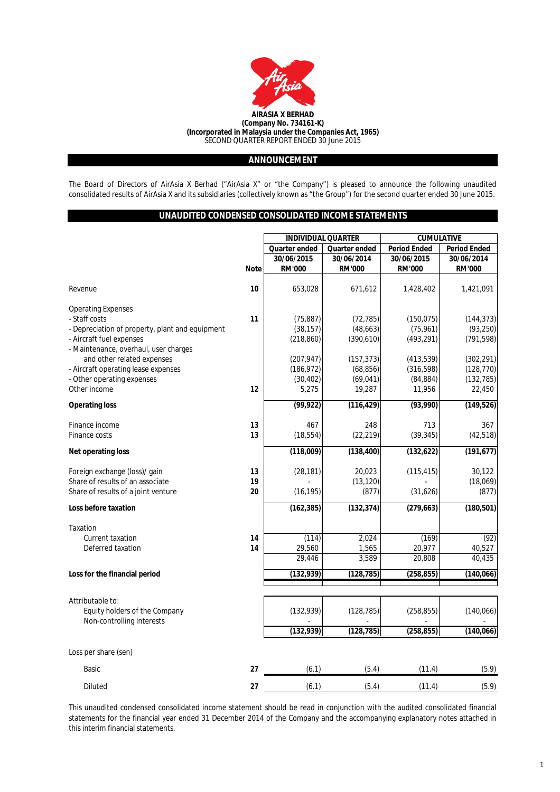

# **ANNOUNCEMENT**

The Board of Directors of AirAsia X Berhad ("AirAsia X" or "the Company") is pleased to announce the following unaudited consolidated results of AirAsia X and its subsidiaries (collectively known as "the Group") for the second quarter ended 30 June 2015.

# **UNAUDITED CONDENSED CONSOLIDATED INCOME STATEMENTS**

|                                                 |             | <b>INDIVIDUAL QUARTER</b> |                      | <b>CUMULATIVE</b>   |                     |  |
|-------------------------------------------------|-------------|---------------------------|----------------------|---------------------|---------------------|--|
|                                                 |             | Quarter ended             | <b>Quarter ended</b> | <b>Period Ended</b> | <b>Period Ended</b> |  |
|                                                 |             | 30/06/2015                | 30/06/2014           | 30/06/2015          | 30/06/2014          |  |
|                                                 | <b>Note</b> | <b>RM'000</b>             | <b>RM'000</b>        | <b>RM'000</b>       | <b>RM'000</b>       |  |
|                                                 |             |                           |                      |                     |                     |  |
| Revenue                                         | 10          | 653,028                   | 671,612              | 1,428,402           | 1,421,091           |  |
|                                                 |             |                           |                      |                     |                     |  |
| <b>Operating Expenses</b>                       |             |                           |                      |                     |                     |  |
| - Staff costs                                   | 11          | (75, 887)                 | (72, 785)            | (150, 075)          | (144, 373)          |  |
| - Depreciation of property, plant and equipment |             | (38, 157)                 | (48, 663)            | (75, 961)           | (93, 250)           |  |
| - Aircraft fuel expenses                        |             | (218, 860)                | (390, 610)           | (493, 291)          | (791, 598)          |  |
| - Maintenance, overhaul, user charges           |             |                           |                      |                     |                     |  |
| and other related expenses                      |             | (207, 947)                | (157, 373)           | (413, 539)          | (302, 291)          |  |
| - Aircraft operating lease expenses             |             | (186, 972)                | (68, 856)            | (316, 598)          | (128, 770)          |  |
| - Other operating expenses                      |             | (30, 402)                 | (69, 041)            | (84, 884)           | (132, 785)          |  |
| Other income                                    | 12          | 5,275                     | 19,287               | 11,956              | 22,450              |  |
| <b>Operating loss</b>                           |             | (99, 922)                 | (116, 429)           | (93,990)            | (149, 526)          |  |
| Finance income                                  | 13          | 467                       | 248                  | 713                 | 367                 |  |
| Finance costs                                   | 13          | (18, 554)                 | (22, 219)            | (39, 345)           | (42, 518)           |  |
|                                                 |             |                           |                      |                     |                     |  |
| <b>Net operating loss</b>                       |             | (118,009)                 | (138, 400)           | (132, 622)          | (191, 677)          |  |
| Foreign exchange (loss)/ gain                   | 13          | (28, 181)                 | 20,023               | (115, 415)          | 30,122              |  |
| Share of results of an associate                | 19          |                           | (13, 120)            |                     | (18,069)            |  |
| Share of results of a joint venture             | 20          | (16, 195)                 | (877)                | (31,626)            | (877)               |  |
|                                                 |             |                           |                      |                     |                     |  |
| Loss before taxation                            |             | (162, 385)                | (132, 374)           | (279, 663)          | (180, 501)          |  |
| Taxation                                        |             |                           |                      |                     |                     |  |
| Current taxation                                | 14          | (114)                     | 2,024                | (169)               | (92)                |  |
| Deferred taxation                               | 14          | 29,560                    | 1,565                | 20,977              | 40,527              |  |
|                                                 |             | 29,446                    | 3,589                | 20,808              | 40,435              |  |
| Loss for the financial period                   |             | (132, 939)                | (128, 785)           | (258, 855)          | (140, 066)          |  |
|                                                 |             |                           |                      |                     |                     |  |
| Attributable to:                                |             |                           |                      |                     |                     |  |
| Equity holders of the Company                   |             | (132, 939)                | (128, 785)           | (258, 855)          | (140, 066)          |  |
| Non-controlling Interests                       |             |                           |                      |                     |                     |  |
|                                                 |             | (132, 939)                | (128, 785)           | (258, 855)          | (140, 066)          |  |
| Loss per share (sen)                            |             |                           |                      |                     |                     |  |
| Basic                                           | 27          | (6.1)                     | (5.4)                | (11.4)              | (5.9)               |  |
| Diluted                                         | 27          | (6.1)                     | (5.4)                | (11.4)              | (5.9)               |  |

This unaudited condensed consolidated income statement should be read in conjunction with the audited consolidated financial statements for the financial year ended 31 December 2014 of the Company and the accompanying explanatory notes attached in this interim financial statements.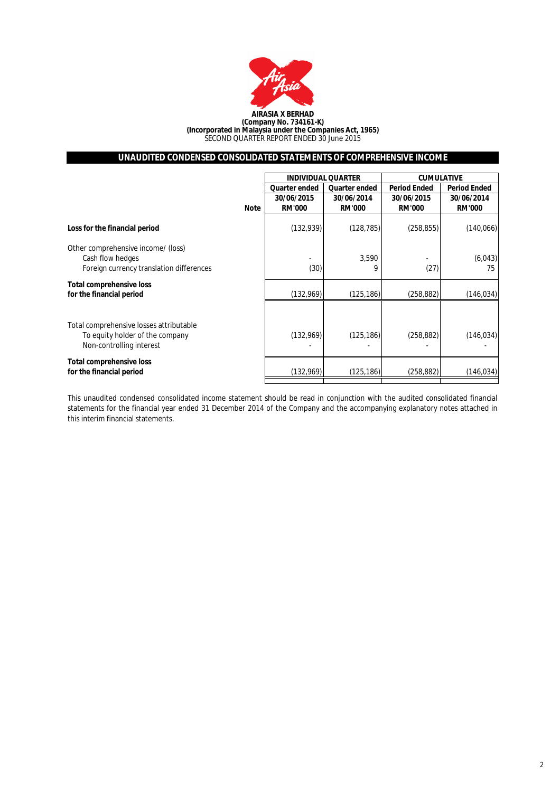

# **UNAUDITED CONDENSED CONSOLIDATED STATEMENTS OF COMPREHENSIVE INCOME**

|                                                                                                        |               | <b>INDIVIDUAL QUARTER</b> | <b>CUMULATIVE</b>   |                     |  |
|--------------------------------------------------------------------------------------------------------|---------------|---------------------------|---------------------|---------------------|--|
|                                                                                                        | Quarter ended | <b>Quarter ended</b>      | <b>Period Ended</b> | <b>Period Ended</b> |  |
|                                                                                                        | 30/06/2015    | 30/06/2014                | 30/06/2015          | 30/06/2014          |  |
| Note                                                                                                   | <b>RM'000</b> | <b>RM'000</b>             | <b>RM'000</b>       | <b>RM'000</b>       |  |
| Loss for the financial period                                                                          | (132, 939)    | (128, 785)                | (258, 855)          | (140,066)           |  |
| Other comprehensive income/ (loss)<br>Cash flow hedges<br>Foreign currency translation differences     | (30)          | 3,590<br>9                | (27)                | (6,043)<br>75       |  |
| <b>Total comprehensive loss</b><br>for the financial period                                            | (132,969)     | (125, 186)                | (258, 882)          | (146, 034)          |  |
| Total comprehensive losses attributable<br>To equity holder of the company<br>Non-controlling interest | (132,969)     | (125, 186)                | (258, 882)          | (146, 034)          |  |
| <b>Total comprehensive loss</b><br>for the financial period                                            | (132,969)     | (125, 186)                | (258, 882)          | (146, 034)          |  |

This unaudited condensed consolidated income statement should be read in conjunction with the audited consolidated financial statements for the financial year ended 31 December 2014 of the Company and the accompanying explanatory notes attached in this interim financial statements.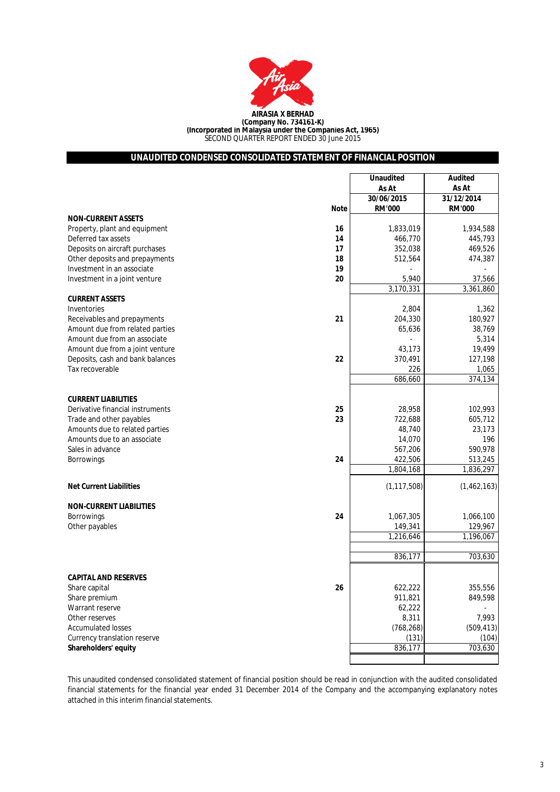

# **UNAUDITED CONDENSED CONSOLIDATED STATEMENT OF FINANCIAL POSITION**

|                                        | <b>Unaudited</b>            | <b>Audited</b>              |
|----------------------------------------|-----------------------------|-----------------------------|
|                                        | As At                       | As At                       |
| <b>Note</b>                            | 30/06/2015<br><b>RM'000</b> | 31/12/2014<br><b>RM'000</b> |
| <b>NON-CURRENT ASSETS</b>              |                             |                             |
| 16<br>Property, plant and equipment    | 1,833,019                   | 1,934,588                   |
| Deferred tax assets<br>14              | 466,770                     | 445,793                     |
| 17<br>Deposits on aircraft purchases   | 352,038                     | 469,526                     |
| Other deposits and prepayments<br>18   | 512,564                     | 474,387                     |
| Investment in an associate<br>19       |                             |                             |
| 20<br>Investment in a joint venture    | 5,940                       | 37,566                      |
|                                        | 3,170,331                   | 3,361,860                   |
| <b>CURRENT ASSETS</b>                  |                             |                             |
| Inventories                            | 2,804                       | 1,362                       |
| 21<br>Receivables and prepayments      | 204,330                     | 180,927                     |
| Amount due from related parties        | 65,636                      | 38.769                      |
| Amount due from an associate           |                             | 5,314                       |
| Amount due from a joint venture        | 43,173                      | 19,499                      |
| 22<br>Deposits, cash and bank balances | 370,491                     | 127,198                     |
| Tax recoverable                        | 226                         | 1,065                       |
|                                        | 686,660                     | 374, 134                    |
|                                        |                             |                             |
| <b>CURRENT LIABILITIES</b>             |                             |                             |
| Derivative financial instruments<br>25 | 28,958                      | 102,993                     |
| 23<br>Trade and other payables         | 722,688                     | 605,712                     |
| Amounts due to related parties         | 48,740                      | 23,173                      |
| Amounts due to an associate            | 14,070                      | 196                         |
| Sales in advance                       | 567,206                     | 590,978                     |
| 24<br><b>Borrowings</b>                | 422,506                     | 513,245                     |
|                                        | 1,804,168                   | 1,836,297                   |
| <b>Net Current Liabilities</b>         | (1, 117, 508)               | (1,462,163)                 |
|                                        |                             |                             |
| <b>NON-CURRENT LIABILITIES</b>         |                             |                             |
| 24<br><b>Borrowings</b>                | 1,067,305                   | 1,066,100                   |
| Other payables                         | 149,341                     | 129,967                     |
|                                        | 1,216,646                   | 1,196,067                   |
|                                        |                             |                             |
|                                        | 836,177                     | 703,630                     |
|                                        |                             |                             |
| <b>CAPITAL AND RESERVES</b>            |                             |                             |
| 26<br>Share capital                    | 622,222                     | 355,556                     |
| Share premium                          | 911,821                     | 849,598                     |
| Warrant reserve                        | 62,222                      |                             |
| Other reserves                         | 8,311                       | 7,993                       |
| <b>Accumulated losses</b>              | (768, 268)                  | (509, 413)                  |
| Currency translation reserve           | (131)                       | (104)                       |
| Shareholders' equity                   | 836,177                     | 703,630                     |
|                                        |                             |                             |

This unaudited condensed consolidated statement of financial position should be read in conjunction with the audited consolidated financial statements for the financial year ended 31 December 2014 of the Company and the accompanying explanatory notes attached in this interim financial statements.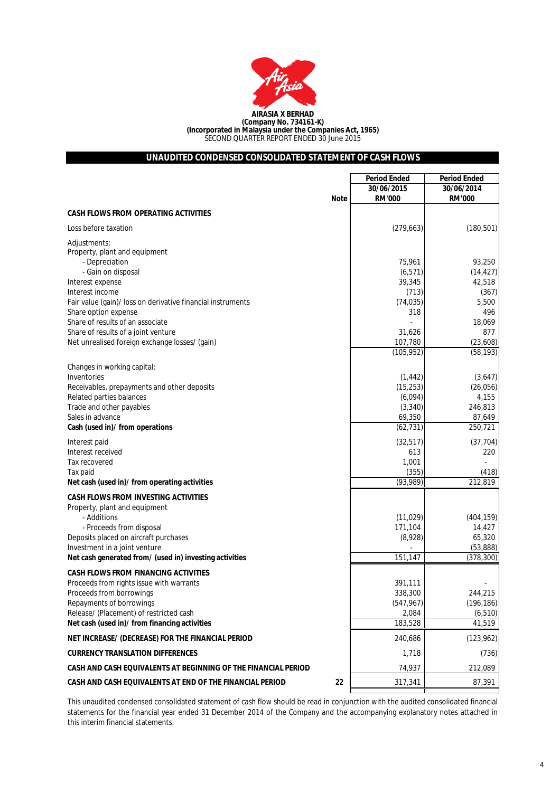

# **UNAUDITED CONDENSED CONSOLIDATED STATEMENT OF CASH FLOWS**

|                                                                                          | <b>Period Ended</b>  | <b>Period Ended</b> |
|------------------------------------------------------------------------------------------|----------------------|---------------------|
|                                                                                          | 30/06/2015           | 30/06/2014          |
| <b>Note</b>                                                                              | <b>RM'000</b>        | <b>RM'000</b>       |
| <b>CASH FLOWS FROM OPERATING ACTIVITIES</b>                                              |                      |                     |
| Loss before taxation                                                                     | (279, 663)           | (180, 501)          |
| Adjustments:<br>Property, plant and equipment<br>- Depreciation                          | 75,961               | 93,250              |
| - Gain on disposal                                                                       | (6, 571)             | (14, 427)           |
| Interest expense                                                                         | 39,345               | 42,518              |
| Interest income                                                                          | (713)                | (367)               |
| Fair value (gain)/ loss on derivative financial instruments                              | (74, 035)            | 5,500               |
| Share option expense                                                                     | 318                  | 496                 |
| Share of results of an associate                                                         |                      | 18,069              |
| Share of results of a joint venture                                                      | 31,626               | 877                 |
| Net unrealised foreign exchange losses/ (gain)                                           | 107,780              | (23,608)            |
|                                                                                          | (105, 952)           | (58, 193)           |
| Changes in working capital:                                                              |                      |                     |
| Inventories                                                                              | (1, 442)             | (3,647)             |
| Receivables, prepayments and other deposits<br>Related parties balances                  | (15, 253)<br>(6,094) | (26, 056)<br>4,155  |
| Trade and other payables                                                                 | (3, 340)             | 246,813             |
| Sales in advance                                                                         | 69,350               | 87,649              |
| Cash (used in)/ from operations                                                          | (62, 731)            | 250,721             |
| Interest paid                                                                            | (32, 517)            | (37, 704)           |
| Interest received                                                                        | 613                  | 220                 |
| Tax recovered                                                                            | 1,001                |                     |
| Tax paid                                                                                 | (355)                | (418)               |
| Net cash (used in)/ from operating activities                                            | (93, 989)            | 212,819             |
| <b>CASH FLOWS FROM INVESTING ACTIVITIES</b><br>Property, plant and equipment             |                      |                     |
| - Additions                                                                              | (11, 029)            | (404, 159)          |
| - Proceeds from disposal                                                                 | 171,104              | 14,427              |
| Deposits placed on aircraft purchases                                                    | (8,928)              | 65,320              |
| Investment in a joint venture                                                            |                      | (53, 888)           |
| Net cash generated from/ (used in) investing activities                                  | 151,147              | (378, 300)          |
| <b>CASH FLOWS FROM FINANCING ACTIVITIES</b>                                              |                      |                     |
| Proceeds from rights issue with warrants                                                 | 391,111              |                     |
| Proceeds from borrowings                                                                 | 338,300              | 244,215             |
| Repayments of borrowings                                                                 | (547, 967)           | (196, 186)          |
| Release/ (Placement) of restricted cash<br>Net cash (used in)/ from financing activities | 2,084<br>183,528     | (6, 510)<br>41,519  |
| NET INCREASE/ (DECREASE) FOR THE FINANCIAL PERIOD                                        | 240,686              | (123, 962)          |
| <b>CURRENCY TRANSLATION DIFFERENCES</b>                                                  | 1,718                | (736)               |
| CASH AND CASH EQUIVALENTS AT BEGINNING OF THE FINANCIAL PERIOD                           | 74,937               | 212,089             |
| CASH AND CASH EQUIVALENTS AT END OF THE FINANCIAL PERIOD<br>22                           | 317,341              | 87,391              |
|                                                                                          |                      |                     |

This unaudited condensed consolidated statement of cash flow should be read in conjunction with the audited consolidated financial statements for the financial year ended 31 December 2014 of the Company and the accompanying explanatory notes attached in this interim financial statements.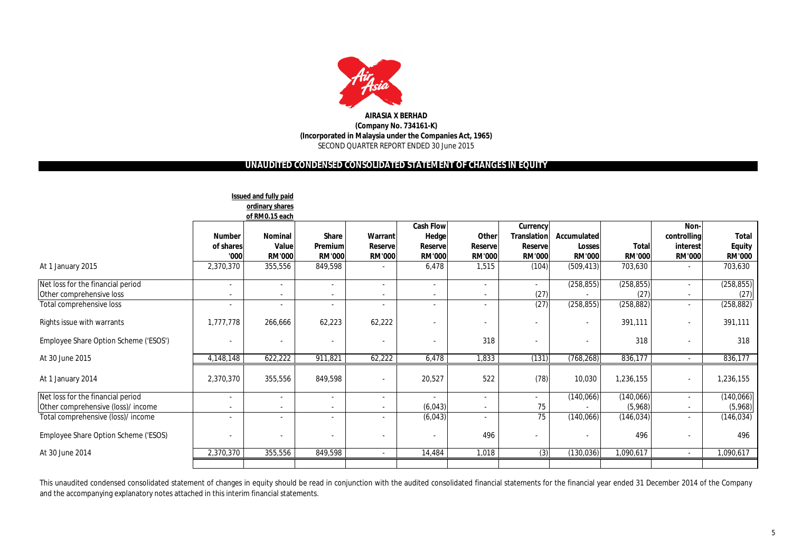

# **UNAUDITED CONDENSED CONSOLIDATED STATEMENT OF CHANGES IN EQUITY**

|                                                               |                                                      | <b>Issued and fully paid</b><br>ordinary shares |                                          |                                                      |                                                        |                                          |                                                                    |                                               |                        |                                                      |                                                |
|---------------------------------------------------------------|------------------------------------------------------|-------------------------------------------------|------------------------------------------|------------------------------------------------------|--------------------------------------------------------|------------------------------------------|--------------------------------------------------------------------|-----------------------------------------------|------------------------|------------------------------------------------------|------------------------------------------------|
|                                                               |                                                      | of RM0.15 each                                  |                                          |                                                      |                                                        |                                          |                                                                    |                                               |                        |                                                      |                                                |
|                                                               | <b>Number</b><br>of shares<br>'000                   | <b>Nominal</b><br>Value<br><b>RM'000</b>        | <b>Share</b><br>Premium<br><b>RM'000</b> | Warrant<br>Reserve<br><b>RM'000</b>                  | <b>Cash Flow</b><br>Hedge<br>Reservel<br><b>RM'000</b> | Other<br><b>Reserve</b><br><b>RM'000</b> | <b>Currency</b><br><b>Translation</b><br>Reservel<br><b>RM'000</b> | Accumulated<br><b>Losses</b><br><b>RM'000</b> | Total<br><b>RM'000</b> | Non-<br>controlling<br>interest<br><b>RM'000</b>     | <b>Total</b><br><b>Equity</b><br><b>RM'000</b> |
| At 1 January 2015                                             | 2,370,370                                            | 355,556                                         | 849,598                                  | $\overline{\phantom{a}}$                             | 6,478                                                  | 1,515                                    | (104)                                                              | (509, 413)                                    | 703,630                | $\overline{\phantom{a}}$                             | 703,630                                        |
| Net loss for the financial period<br>Other comprehensive loss | $\overline{\phantom{a}}$<br>$\overline{\phantom{a}}$ | $\overline{\phantom{a}}$                        |                                          | $\overline{\phantom{a}}$<br>$\overline{\phantom{a}}$ | $\overline{\phantom{a}}$                               | $\overline{\phantom{a}}$                 | $\sim$<br>(27)                                                     | (258, 855)                                    | (258, 855)<br>(27)     | $\overline{\phantom{a}}$<br>$\overline{\phantom{a}}$ | (258, 855)<br>(27)                             |
| Total comprehensive loss                                      | $\blacksquare$                                       | $\overline{\phantom{a}}$                        | $\overline{\phantom{a}}$                 | $\sim$                                               | $\overline{\phantom{a}}$                               | $\overline{\phantom{a}}$                 | (27)                                                               | (258, 855)                                    | (258, 882)             | $\overline{\phantom{a}}$                             | (258, 882)                                     |
| Rights issue with warrants                                    | 1,777,778                                            | 266,666                                         | 62,223                                   | 62,222                                               |                                                        |                                          |                                                                    |                                               | 391,111                | $\overline{\phantom{a}}$                             | 391,111                                        |
| Employee Share Option Scheme ('ESOS')                         | $\overline{\phantom{a}}$                             | $\overline{\phantom{a}}$                        | $\overline{\phantom{a}}$                 |                                                      |                                                        | 318                                      |                                                                    |                                               | 318                    |                                                      | 318                                            |
| At 30 June 2015                                               | 4,148,148                                            | 622,222                                         | 911,821                                  | 62,222                                               | 6,478                                                  | 1,833                                    | (131)                                                              | (768, 268)                                    | 836,177                | $\overline{\phantom{a}}$                             | 836,177                                        |
| At 1 January 2014                                             | 2,370,370                                            | 355,556                                         | 849,598                                  |                                                      | 20,527                                                 | 522                                      | (78)                                                               | 10,030                                        | 1,236,155              | $\overline{\phantom{a}}$                             | 1,236,155                                      |
| Net loss for the financial period                             | $\overline{\phantom{a}}$                             | $\overline{\phantom{a}}$                        | $\overline{\phantom{a}}$                 | $\sim$                                               | $\overline{\phantom{a}}$                               | $\overline{\phantom{a}}$                 |                                                                    | (140,066)                                     | (140,066)              | $\overline{\phantom{a}}$                             | (140,066)                                      |
| Other comprehensive (loss)/ income                            | $\blacksquare$                                       | $\overline{\phantom{a}}$                        |                                          | $\overline{\phantom{a}}$                             | (6,043)                                                |                                          | 75                                                                 |                                               | (5,968)                | $\overline{\phantom{a}}$                             | (5,968)                                        |
| Total comprehensive (loss)/ income                            | $\overline{\phantom{a}}$                             | $\overline{\phantom{a}}$                        |                                          | $\overline{\phantom{a}}$                             | (6,043)                                                |                                          | 75                                                                 | (140, 066)                                    | (146, 034)             | $\overline{\phantom{a}}$                             | (146, 034)                                     |
| Employee Share Option Scheme ('ESOS)                          |                                                      | $\overline{\phantom{a}}$                        |                                          |                                                      | $\overline{\phantom{a}}$                               | 496                                      |                                                                    |                                               | 496                    |                                                      | 496                                            |
| At 30 June 2014                                               | 2,370,370                                            | 355,556                                         | 849,598                                  | $\sim$                                               | 14,484                                                 | 1,018                                    | (3)                                                                | (130, 036)                                    | 1,090,617              | $\sim$                                               | 1,090,617                                      |
|                                                               |                                                      |                                                 |                                          |                                                      |                                                        |                                          |                                                                    |                                               |                        |                                                      |                                                |

This unaudited condensed consolidated statement of changes in equity should be read in conjunction with the audited consolidated financial statements for the financial year ended 31 December 2014 of the Company and the accompanying explanatory notes attached in this interim financial statements.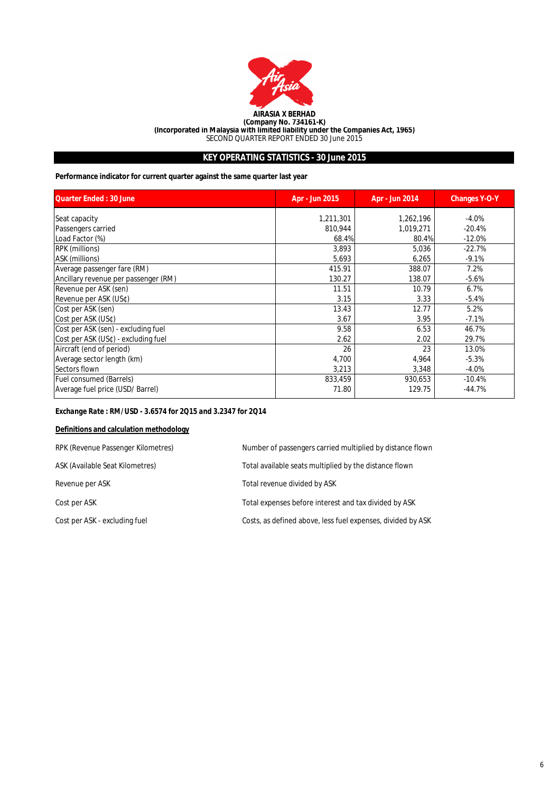

# **KEY OPERATING STATISTICS - 30 June 2015**

# **Performance indicator for current quarter against the same quarter last year**

| <b>Quarter Ended: 30 June</b>        | Apr - Jun 2015 | Apr - Jun 2014 | <b>Changes Y-O-Y</b> |
|--------------------------------------|----------------|----------------|----------------------|
| Seat capacity                        | 1,211,301      | 1,262,196      | $-4.0%$              |
| Passengers carried                   | 810,944        | 1,019,271      | $-20.4%$             |
| Load Factor (%)                      | 68.4%          | 80.4%          | $-12.0%$             |
| <b>RPK</b> (millions)                | 3,893          | 5,036          | $-22.7%$             |
| ASK (millions)                       | 5,693          | 6,265          | $-9.1%$              |
| Average passenger fare (RM)          | 415.91         | 388.07         | 7.2%                 |
| Ancillary revenue per passenger (RM) | 130.27         | 138.07         | $-5.6%$              |
| Revenue per ASK (sen)                | 11.51          | 10.79          | 6.7%                 |
| Revenue per ASK (US¢)                | 3.15           | 3.33           | $-5.4%$              |
| Cost per ASK (sen)                   | 13.43          | 12.77          | 5.2%                 |
| Cost per ASK (US¢)                   | 3.67           | 3.95           | $-7.1%$              |
| Cost per ASK (sen) - excluding fuel  | 9.58           | 6.53           | 46.7%                |
| Cost per ASK (US¢) - excluding fuel  | 2.62           | 2.02           | 29.7%                |
| Aircraft (end of period)             | 26             | 23             | 13.0%                |
| Average sector length (km)           | 4,700          | 4,964          | $-5.3%$              |
| Sectors flown                        | 3,213          | 3,348          | $-4.0%$              |
| <b>Fuel consumed (Barrels)</b>       | 833,459        | 930,653        | $-10.4%$             |
| Average fuel price (USD/ Barrel)     | 71.80          | 129.75         | $-44.7%$             |

# *Exchange Rate : RM/USD - 3.6574 for 2Q15 and 3.2347 for 2Q14*

# **Definitions and calculation methodology**

| RPK (Revenue Passenger Kilometres) | Number of passengers carried multiplied by distance flown   |
|------------------------------------|-------------------------------------------------------------|
| ASK (Available Seat Kilometres)    | Total available seats multiplied by the distance flown      |
| Revenue per ASK                    | Total revenue divided by ASK                                |
| Cost per ASK                       | Total expenses before interest and tax divided by ASK       |
| Cost per ASK - excluding fuel      | Costs, as defined above, less fuel expenses, divided by ASK |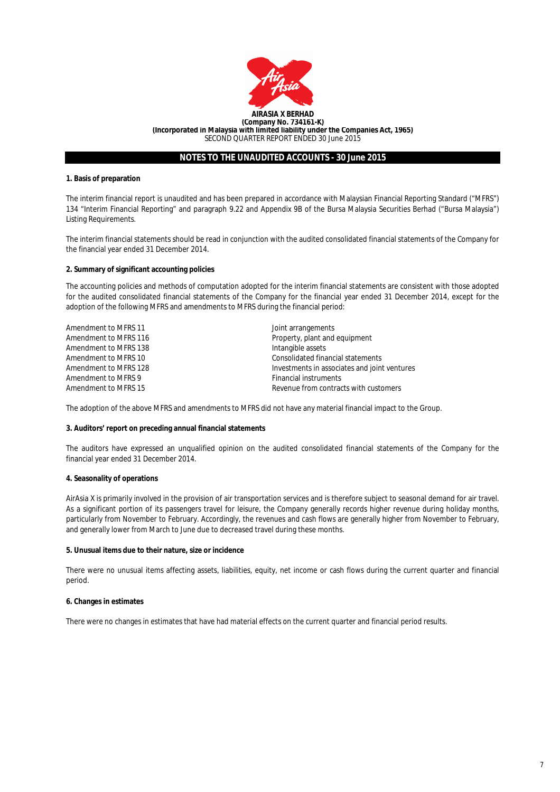

## **1. Basis of preparation**

The interim financial report is unaudited and has been prepared in accordance with Malaysian Financial Reporting Standard ("MFRS") 134 "Interim Financial Reporting" and paragraph 9.22 and Appendix 9B of the Bursa Malaysia Securities Berhad ("Bursa Malaysia") Listing Requirements.

The interim financial statements should be read in conjunction with the audited consolidated financial statements of the Company for the financial year ended 31 December 2014.

## **2. Summary of significant accounting policies**

The accounting policies and methods of computation adopted for the interim financial statements are consistent with those adopted for the audited consolidated financial statements of the Company for the financial year ended 31 December 2014, except for the adoption of the following MFRS and amendments to MFRS during the financial period:

| Amendment to MFRS 11  | Joint arrangements                           |
|-----------------------|----------------------------------------------|
| Amendment to MFRS 116 | Property, plant and equipment                |
| Amendment to MFRS 138 | Intangible assets                            |
| Amendment to MFRS 10  | Consolidated financial statements            |
| Amendment to MFRS 128 | Investments in associates and joint ventures |
| Amendment to MFRS 9   | <b>Financial instruments</b>                 |
| Amendment to MFRS 15  | Revenue from contracts with customers        |

The adoption of the above MFRS and amendments to MFRS did not have any material financial impact to the Group.

## **3. Auditors' report on preceding annual financial statements**

The auditors have expressed an unqualified opinion on the audited consolidated financial statements of the Company for the financial year ended 31 December 2014.

### **4. Seasonality of operations**

AirAsia X is primarily involved in the provision of air transportation services and is therefore subject to seasonal demand for air travel. As a significant portion of its passengers travel for leisure, the Company generally records higher revenue during holiday months, particularly from November to February. Accordingly, the revenues and cash flows are generally higher from November to February, and generally lower from March to June due to decreased travel during these months.

### **5. Unusual items due to their nature, size or incidence**

There were no unusual items affecting assets, liabilities, equity, net income or cash flows during the current quarter and financial period.

#### **6. Changes in estimates**

There were no changes in estimates that have had material effects on the current quarter and financial period results.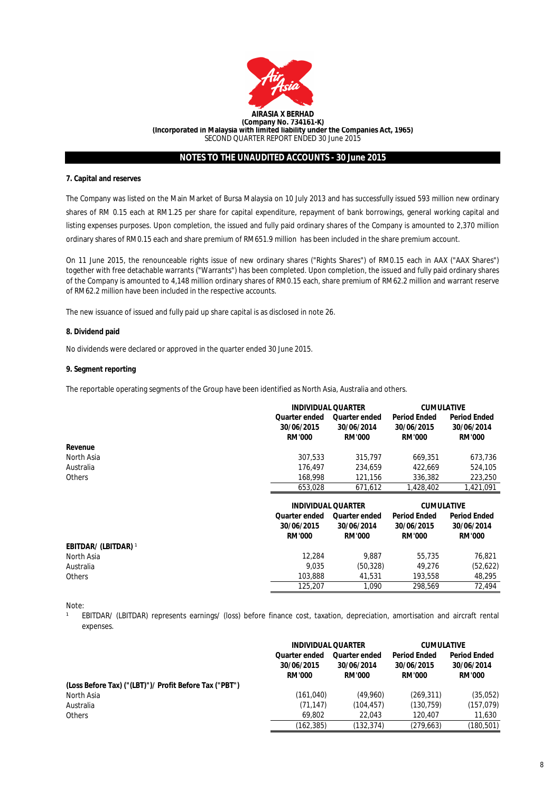

## **7. Capital and reserves**

The Company was listed on the Main Market of Bursa Malaysia on 10 July 2013 and has successfully issued 593 million new ordinary shares of RM 0.15 each at RM1.25 per share for capital expenditure, repayment of bank borrowings, general working capital and listing expenses purposes. Upon completion, the issued and fully paid ordinary shares of the Company is amounted to 2,370 million ordinary shares of RM0.15 each and share premium of RM651.9 million has been included in the share premium account.

On 11 June 2015, the renounceable rights issue of new ordinary shares ("Rights Shares") of RM0.15 each in AAX ("AAX Shares") together with free detachable warrants ("Warrants") has been completed. Upon completion, the issued and fully paid ordinary shares of the Company is amounted to 4,148 million ordinary shares of RM0.15 each, share premium of RM62.2 million and warrant reserve of RM62.2 million have been included in the respective accounts.

The new issuance of issued and fully paid up share capital is as disclosed in note 26.

## **8. Dividend paid**

No dividends were declared or approved in the quarter ended 30 June 2015.

## **9. Segment reporting**

The reportable operating segments of the Group have been identified as North Asia, Australia and others.

|               | <b>INDIVIDUAL QUARTER</b> |               | <b>CUMULATIVE</b>   |                     |
|---------------|---------------------------|---------------|---------------------|---------------------|
|               | Quarter ended             | Quarter ended | <b>Period Ended</b> | <b>Period Ended</b> |
|               | 30/06/2015                | 30/06/2014    | 30/06/2015          | 30/06/2014          |
|               | <b>RM'000</b>             | <b>RM'000</b> | <b>RM'000</b>       | <b>RM'000</b>       |
| Revenue       |                           |               |                     |                     |
| North Asia    | 307.533                   | 315,797       | 669.351             | 673.736             |
| Australia     | 176.497                   | 234.659       | 422.669             | 524,105             |
| <b>Others</b> | 168,998                   | 121.156       | 336.382             | 223,250             |
|               | 653.028                   | 671.612       | 1,428,402           | 1.421.091           |

|                             |                                              | <b>INDIVIDUAL QUARTER</b>                           |                                                    | <b>CUMULATIVE</b>                                  |
|-----------------------------|----------------------------------------------|-----------------------------------------------------|----------------------------------------------------|----------------------------------------------------|
|                             | Quarter ended<br>30/06/2015<br><b>RM'000</b> | <b>Quarter ended</b><br>30/06/2014<br><b>RM'000</b> | <b>Period Ended</b><br>30/06/2015<br><b>RM'000</b> | <b>Period Ended</b><br>30/06/2014<br><b>RM'000</b> |
| <b>EBITDAR/ (LBITDAR)</b> 1 |                                              |                                                     |                                                    |                                                    |
| North Asia                  | 12,284                                       | 9.887                                               | 55,735                                             | 76.821                                             |
| Australia                   | 9.035                                        | (50, 328)                                           | 49.276                                             | (52,622)                                           |
| <b>Others</b>               | 103.888                                      | 41.531                                              | 193,558                                            | 48,295                                             |
|                             | 125,207                                      | 1.090                                               | 298.569                                            | 72.494                                             |

Note:

 $\mathbf{1}$ EBITDAR/ (LBITDAR) represents earnings/ (loss) before finance cost, taxation, depreciation, amortisation and aircraft rental expenses.

|                                                        | <b>INDIVIDUAL QUARTER</b>                           |                                                     | <b>CUMULATIVE</b>                                  |                                                    |
|--------------------------------------------------------|-----------------------------------------------------|-----------------------------------------------------|----------------------------------------------------|----------------------------------------------------|
|                                                        | <b>Quarter ended</b><br>30/06/2015<br><b>RM'000</b> | <b>Quarter ended</b><br>30/06/2014<br><b>RM'000</b> | <b>Period Ended</b><br>30/06/2015<br><b>RM'000</b> | <b>Period Ended</b><br>30/06/2014<br><b>RM'000</b> |
| (Loss Before Tax) ("(LBT)")/ Profit Before Tax ("PBT") |                                                     |                                                     |                                                    |                                                    |
| North Asia                                             | (161, 040)                                          | (49.960)                                            | (269, 311)                                         | (35,052)                                           |
| Australia                                              | (71, 147)                                           | (104, 457)                                          | (130, 759)                                         | (157, 079)                                         |
| <b>Others</b>                                          | 69.802                                              | 22.043                                              | 120.407                                            | 11,630                                             |
|                                                        | (162, 385)                                          | (132, 374)                                          | (279, 663)                                         | (180,501)                                          |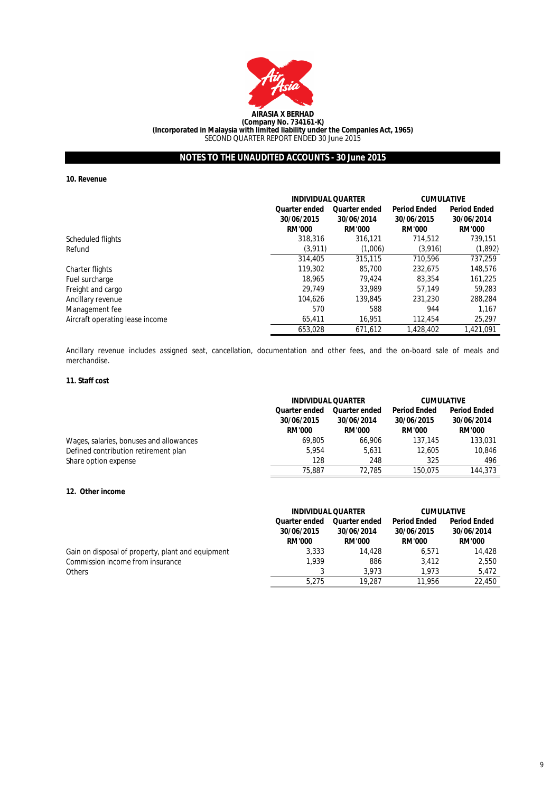

**10. Revenue**

|                                 |                             | <b>INDIVIDUAL QUARTER</b>   |                             | <b>CUMULATIVE</b>           |
|---------------------------------|-----------------------------|-----------------------------|-----------------------------|-----------------------------|
|                                 | <b>Quarter ended</b>        | <b>Quarter ended</b>        | <b>Period Ended</b>         | <b>Period Ended</b>         |
|                                 | 30/06/2015<br><b>RM'000</b> | 30/06/2014<br><b>RM'000</b> | 30/06/2015<br><b>RM'000</b> | 30/06/2014<br><b>RM'000</b> |
| Scheduled flights               | 318,316                     | 316.121                     | 714.512                     | 739.151                     |
| Refund                          | (3.911)                     | (1,006)                     | (3,916)                     | (1,892)                     |
|                                 | 314,405                     | 315,115                     | 710.596                     | 737,259                     |
| Charter flights                 | 119,302                     | 85,700                      | 232.675                     | 148,576                     |
| Fuel surcharge                  | 18,965                      | 79.424                      | 83,354                      | 161,225                     |
| Freight and cargo               | 29.749                      | 33.989                      | 57.149                      | 59.283                      |
| Ancillary revenue               | 104.626                     | 139.845                     | 231,230                     | 288,284                     |
| Management fee                  | 570                         | 588                         | 944                         | 1.167                       |
| Aircraft operating lease income | 65.411                      | 16.951                      | 112,454                     | 25,297                      |
|                                 | 653.028                     | 671.612                     | 1.428.402                   | 1.421.091                   |

Ancillary revenue includes assigned seat, cancellation, documentation and other fees, and the on-board sale of meals and merchandise.

## **11. Staff cost**

|                                         | <b>INDIVIDUAL QUARTER</b> |                                             | <b>CUMULATIVE</b>   |               |
|-----------------------------------------|---------------------------|---------------------------------------------|---------------------|---------------|
|                                         | Quarter ended             | <b>Period Ended</b><br><b>Quarter ended</b> | <b>Period Ended</b> |               |
|                                         | 30/06/2015                | 30/06/2015<br>30/06/2014                    |                     | 30/06/2014    |
|                                         | <b>RM'000</b>             | <b>RM'000</b>                               | <b>RM'000</b>       | <b>RM'000</b> |
| Wages, salaries, bonuses and allowances | 69.805                    | 66.906                                      | 137.145             | 133,031       |
| Defined contribution retirement plan    | 5.954                     | 5.631                                       | 12,605              | 10.846        |
| Share option expense                    | 128                       | 248                                         | 325                 | 496           |
|                                         | 75,887                    | 72.785                                      | 150.075             | 144,373       |

## **12. Other income**

|                                                   | <b>INDIVIDUAL QUARTER</b>                           |                                                     | <b>CUMULATIVE</b>                                  |                                                    |
|---------------------------------------------------|-----------------------------------------------------|-----------------------------------------------------|----------------------------------------------------|----------------------------------------------------|
|                                                   | <b>Quarter ended</b><br>30/06/2015<br><b>RM'000</b> | <b>Quarter ended</b><br>30/06/2014<br><b>RM'000</b> | <b>Period Ended</b><br>30/06/2015<br><b>RM'000</b> | <b>Period Ended</b><br>30/06/2014<br><b>RM'000</b> |
| Gain on disposal of property, plant and equipment | 3,333                                               | 14,428                                              | 6.571                                              | 14,428                                             |
| Commission income from insurance                  | 1.939                                               | 886                                                 | 3.412                                              | 2.550                                              |
| <b>Others</b>                                     |                                                     | 3.973                                               | 1.973                                              | 5.472                                              |
|                                                   | 5.275                                               | 19,287                                              | 11.956                                             | 22,450                                             |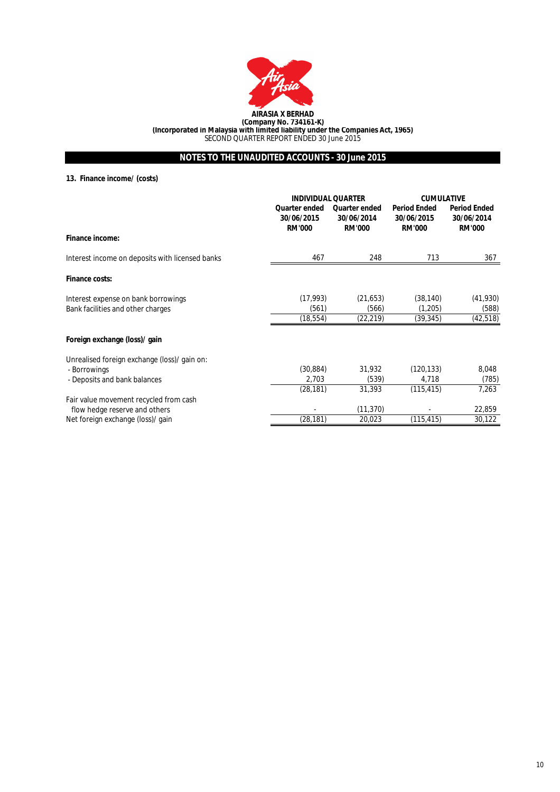

**13. Finance income/ (costs)**

|                                                 | <b>INDIVIDUAL QUARTER</b>                           |                                                     | <b>CUMULATIVE</b>                                  |                                                    |
|-------------------------------------------------|-----------------------------------------------------|-----------------------------------------------------|----------------------------------------------------|----------------------------------------------------|
|                                                 | <b>Quarter ended</b><br>30/06/2015<br><b>RM'000</b> | <b>Quarter ended</b><br>30/06/2014<br><b>RM'000</b> | <b>Period Ended</b><br>30/06/2015<br><b>RM'000</b> | <b>Period Ended</b><br>30/06/2014<br><b>RM'000</b> |
| Finance income:                                 |                                                     |                                                     |                                                    |                                                    |
| Interest income on deposits with licensed banks | 467                                                 | 248                                                 | 713                                                | 367                                                |
| <b>Finance costs:</b>                           |                                                     |                                                     |                                                    |                                                    |
| Interest expense on bank borrowings             | (17, 993)                                           | (21, 653)                                           | (38, 140)                                          | (41,930)                                           |
| Bank facilities and other charges               | (561)                                               | (566)                                               | (1,205)                                            | (588)                                              |
|                                                 | (18, 554)                                           | (22, 219)                                           | (39,345)                                           | (42,518)                                           |
| Foreign exchange (loss)/ gain                   |                                                     |                                                     |                                                    |                                                    |
| Unrealised foreign exchange (loss)/ gain on:    |                                                     |                                                     |                                                    |                                                    |
| - Borrowings                                    | (30, 884)                                           | 31,932                                              | (120, 133)                                         | 8,048                                              |
| - Deposits and bank balances                    | 2,703                                               | (539)                                               | 4,718                                              | (785)                                              |
|                                                 | (28, 181)                                           | 31,393                                              | (115, 415)                                         | 7,263                                              |
| Fair value movement recycled from cash          |                                                     |                                                     |                                                    |                                                    |
| flow hedge reserve and others                   |                                                     | (11, 370)                                           |                                                    | 22,859                                             |
| Net foreign exchange (loss)/ gain               | (28, 181)                                           | 20,023                                              | (115, 415)                                         | 30,122                                             |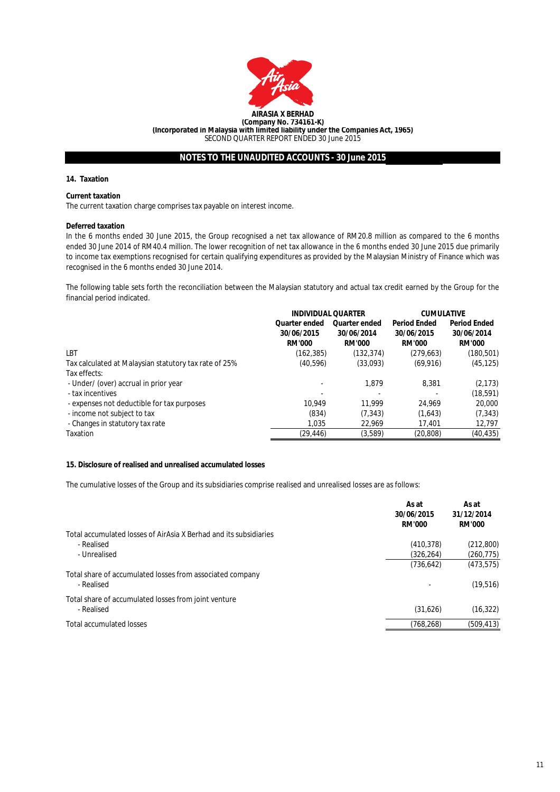

## **14. Taxation**

## **Current taxation**

The current taxation charge comprises tax payable on interest income.

## **Deferred taxation**

In the 6 months ended 30 June 2015, the Group recognised a net tax allowance of RM20.8 million as compared to the 6 months ended 30 June 2014 of RM40.4 million. The lower recognition of net tax allowance in the 6 months ended 30 June 2015 due primarily to income tax exemptions recognised for certain qualifying expenditures as provided by the Malaysian Ministry of Finance which was recognised in the 6 months ended 30 June 2014.

The following table sets forth the reconciliation between the Malaysian statutory and actual tax credit earned by the Group for the financial period indicated.

|                                                       | <b>INDIVIDUAL QUARTER</b> |                      | <b>CUMULATIVE</b>   |                     |
|-------------------------------------------------------|---------------------------|----------------------|---------------------|---------------------|
|                                                       | Quarter ended             | <b>Quarter ended</b> | <b>Period Ended</b> | <b>Period Ended</b> |
|                                                       | 30/06/2015                | 30/06/2014           | 30/06/2015          | 30/06/2014          |
|                                                       | <b>RM'000</b>             | <b>RM'000</b>        | <b>RM'000</b>       | <b>RM'000</b>       |
| LBT                                                   | (162, 385)                | (132,374)            | (279, 663)          | (180, 501)          |
| Tax calculated at Malaysian statutory tax rate of 25% | (40,596)                  | (33,093)             | (69, 916)           | (45, 125)           |
| Tax effects:                                          |                           |                      |                     |                     |
| - Under/ (over) accrual in prior year                 |                           | 1.879                | 8.381               | (2, 173)            |
| - tax incentives                                      |                           |                      |                     | (18, 591)           |
| - expenses not deductible for tax purposes            | 10.949                    | 11.999               | 24.969              | 20,000              |
| - income not subject to tax                           | (834)                     | (7, 343)             | (1,643)             | (7, 343)            |
| - Changes in statutory tax rate                       | 1.035                     | 22.969               | 17.401              | 12,797              |
| Taxation                                              | (29,446)                  | (3,589)              | (20, 808)           | (40, 435)           |

#### **15. Disclosure of realised and unrealised accumulated losses**

The cumulative losses of the Group and its subsidiaries comprise realised and unrealised losses are as follows:

|                                                                   | As at<br>30/06/2015<br><b>RM'000</b> | As at<br>31/12/2014<br><b>RM'000</b> |
|-------------------------------------------------------------------|--------------------------------------|--------------------------------------|
| Total accumulated losses of AirAsia X Berhad and its subsidiaries |                                      |                                      |
| - Realised                                                        | (410, 378)                           | (212, 800)                           |
| - Unrealised                                                      | (326, 264)                           | (260, 775)                           |
|                                                                   | (736, 642)                           | (473, 575)                           |
| Total share of accumulated losses from associated company         |                                      |                                      |
| - Realised                                                        |                                      | (19, 516)                            |
| Total share of accumulated losses from joint venture              |                                      |                                      |
| - Realised                                                        | (31,626)                             | (16, 322)                            |
| <b>Total accumulated losses</b>                                   | (768, 268)                           | (509, 413)                           |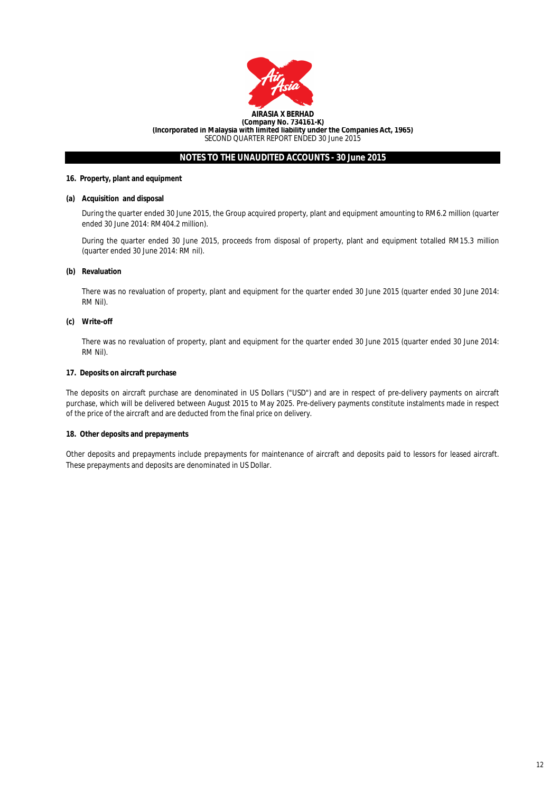

## **16. Property, plant and equipment**

## **(a) Acquisition and disposal**

During the quarter ended 30 June 2015, the Group acquired property, plant and equipment amounting to RM6.2 million (quarter ended 30 June 2014: RM404.2 million).

During the quarter ended 30 June 2015, proceeds from disposal of property, plant and equipment totalled RM15.3 million (quarter ended 30 June 2014: RM nil).

## **(b) Revaluation**

There was no revaluation of property, plant and equipment for the quarter ended 30 June 2015 (quarter ended 30 June 2014: RM Nil).

## **(c) Write-off**

There was no revaluation of property, plant and equipment for the quarter ended 30 June 2015 (quarter ended 30 June 2014: RM Nil).

## **17. Deposits on aircraft purchase**

The deposits on aircraft purchase are denominated in US Dollars ("USD") and are in respect of pre-delivery payments on aircraft purchase, which will be delivered between August 2015 to May 2025. Pre-delivery payments constitute instalments made in respect of the price of the aircraft and are deducted from the final price on delivery.

#### **18. Other deposits and prepayments**

Other deposits and prepayments include prepayments for maintenance of aircraft and deposits paid to lessors for leased aircraft. These prepayments and deposits are denominated in US Dollar.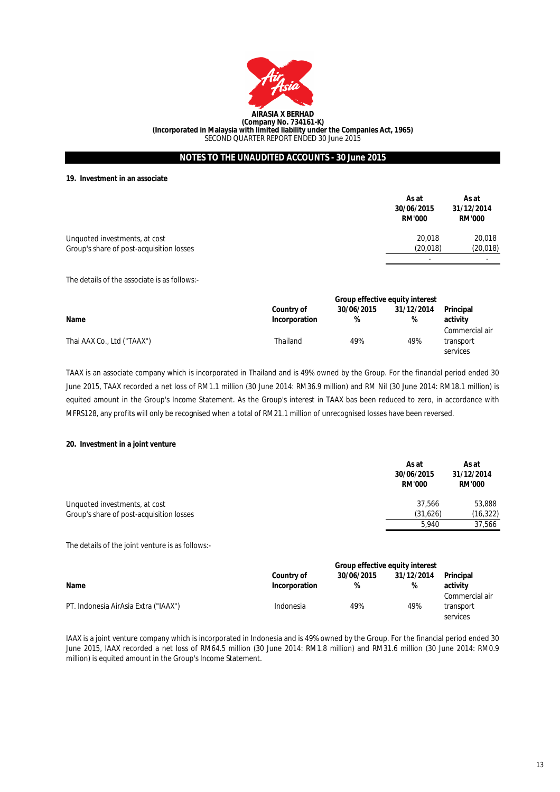

**19. Investment in an associate**

|                                          | As at<br>30/06/2015<br><b>RM'000</b> | As at<br>31/12/2014<br><b>RM'000</b> |
|------------------------------------------|--------------------------------------|--------------------------------------|
| Unquoted investments, at cost            | 20,018                               | 20,018                               |
| Group's share of post-acquisition losses | (20, 018)                            | (20, 018)                            |
|                                          |                                      | $\overline{\phantom{a}}$             |

The details of the associate is as follows:-

|                            | <b>Group effective equity interest</b> |            |            |                            |
|----------------------------|----------------------------------------|------------|------------|----------------------------|
|                            | Country of                             | 30/06/2015 | 31/12/2014 | Principal                  |
| Name                       | Incorporation                          | %          | %          | activity<br>Commercial air |
| Thai AAX Co., Ltd ("TAAX") | Thailand                               | 49%        | 49%        | transport<br>services      |

TAAX is an associate company which is incorporated in Thailand and is 49% owned by the Group. For the financial period ended 30 June 2015, TAAX recorded a net loss of RM1.1 million (30 June 2014: RM36.9 million) and RM Nil (30 June 2014: RM18.1 million) is equited amount in the Group's Income Statement. As the Group's interest in TAAX bas been reduced to zero, in accordance with MFRS128, any profits will only be recognised when a total of RM21.1 million of unrecognised losses have been reversed.

## **20. Investment in a joint venture**

|                                          | As at<br>30/06/2015<br><b>RM'000</b> | As at<br>31/12/2014<br><b>RM'000</b> |
|------------------------------------------|--------------------------------------|--------------------------------------|
| Unquoted investments, at cost            | 37.566                               | 53,888                               |
| Group's share of post-acquisition losses | (31,626)                             | (16, 322)                            |
|                                          | 5.940                                | 37.566                               |

The details of the joint venture is as follows:-

|                                      | <b>Group effective equity interest</b> |                 |                 |                                         |
|--------------------------------------|----------------------------------------|-----------------|-----------------|-----------------------------------------|
| Name                                 | Country of<br>Incorporation            | 30/06/2015<br>% | 31/12/2014<br>% | <b>Principal</b><br>activity            |
| PT. Indonesia AirAsia Extra ("IAAX") | Indonesia                              | 49%             | 49%             | Commercial air<br>transport<br>services |

IAAX is a joint venture company which is incorporated in Indonesia and is 49% owned by the Group. For the financial period ended 30 June 2015, IAAX recorded a net loss of RM64.5 million (30 June 2014: RM1.8 million) and RM31.6 million (30 June 2014: RM0.9 million) is equited amount in the Group's Income Statement.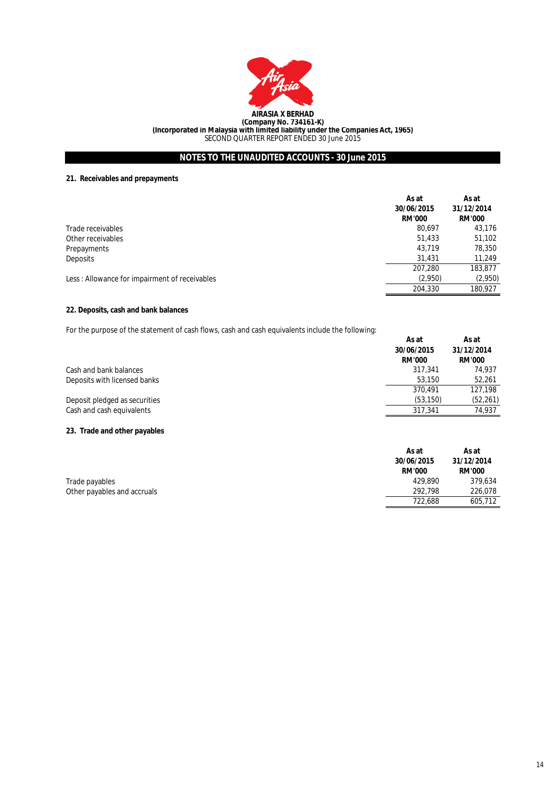

# **21. Receivables and prepayments**

| As at<br>30/06/2015<br><b>RM'000</b> | As at<br>31/12/2014<br><b>RM'000</b> |
|--------------------------------------|--------------------------------------|
| 80.697                               | 43,176                               |
| 51,433                               | 51,102                               |
| 43,719                               | 78,350                               |
| 31,431                               | 11,249                               |
| 207,280                              | 183,877                              |
| (2,950)                              | (2,950)                              |
| 204,330                              | 180,927                              |
|                                      |                                      |

# **22. Deposits, cash and bank balances**

For the purpose of the statement of cash flows, cash and cash equivalents include the following:

|                               | As at<br>30/06/2015 | As at<br>31/12/2014 |
|-------------------------------|---------------------|---------------------|
|                               | <b>RM'000</b>       | <b>RM'000</b>       |
| Cash and bank balances        | 317.341             | 74.937              |
| Deposits with licensed banks  | 53,150              | 52.261              |
|                               | 370.491             | 127.198             |
| Deposit pledged as securities | (53, 150)           | (52, 261)           |
| Cash and cash equivalents     | 317.341             | 74.937              |

# **23. Trade and other payables**

|                             | As at         | As at         |
|-----------------------------|---------------|---------------|
|                             | 30/06/2015    | 31/12/2014    |
|                             | <b>RM'000</b> | <b>RM'000</b> |
| Trade payables              | 429.890       | 379.634       |
| Other payables and accruals | 292.798       | 226.078       |
|                             | 722.688       | 605,712       |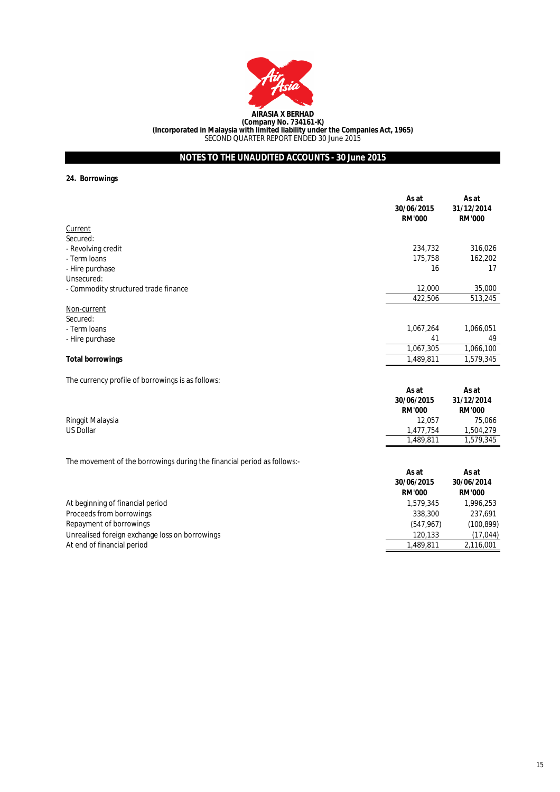

**24. Borrowings**

|                                      | As at<br>30/06/2015<br><b>RM'000</b> | As at<br>31/12/2014<br><b>RM'000</b> |
|--------------------------------------|--------------------------------------|--------------------------------------|
| Current                              |                                      |                                      |
| Secured:                             |                                      |                                      |
| - Revolving credit                   | 234,732                              | 316,026                              |
| - Term Ioans                         | 175,758                              | 162,202                              |
| - Hire purchase                      | 16                                   | 17                                   |
| Unsecured:                           |                                      |                                      |
| - Commodity structured trade finance | 12,000                               | 35,000                               |
|                                      | 422,506                              | 513,245                              |
| Non-current                          |                                      |                                      |
| Secured:                             |                                      |                                      |
| - Term Ioans                         | 1,067,264                            | 1,066,051                            |
| - Hire purchase                      | 41                                   | 49                                   |
|                                      | 1,067,305                            | 1,066,100                            |
| <b>Total borrowings</b>              | 1,489,811                            | 1,579,345                            |

The currency profile of borrowings is as follows:

|                  | As at<br>30/06/2015<br><b>RM'000</b> | As at<br>31/12/2014<br><b>RM'000</b> |
|------------------|--------------------------------------|--------------------------------------|
| Ringgit Malaysia | 12.057                               | 75.066                               |
| US Dollar        | 1.477.754                            | 1,504,279                            |
|                  | 1,489,811                            | 1,579,345                            |

The movement of the borrowings during the financial period as follows:-

|                                                | As at<br>30/06/2015<br><b>RM'000</b> | As at<br>30/06/2014<br><b>RM'000</b> |
|------------------------------------------------|--------------------------------------|--------------------------------------|
| At beginning of financial period               | 1,579,345                            | 1,996,253                            |
| Proceeds from borrowings                       | 338,300                              | 237.691                              |
| Repayment of borrowings                        | (547, 967)                           | (100, 899)                           |
| Unrealised foreign exchange loss on borrowings | 120.133                              | (17, 044)                            |
| At end of financial period                     | 1,489,811                            | 2,116,001                            |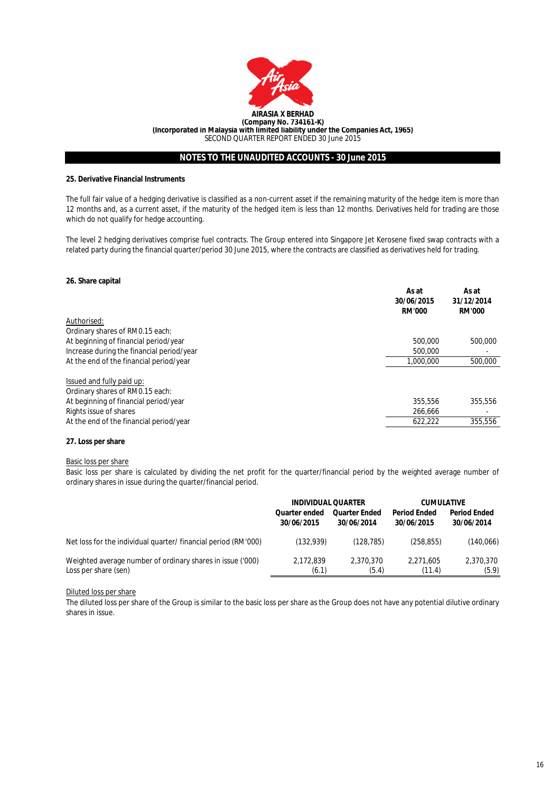

# **25. Derivative Financial Instruments**

The full fair value of a hedging derivative is classified as a non-current asset if the remaining maturity of the hedge item is more than 12 months and, as a current asset, if the maturity of the hedged item is less than 12 months. Derivatives held for trading are those which do not qualify for hedge accounting.

The level 2 hedging derivatives comprise fuel contracts. The Group entered into Singapore Jet Kerosene fixed swap contracts with a related party during the financial quarter/period 30 June 2015, where the contracts are classified as derivatives held for trading.

### **26. Share capital**

|                                           | As at<br>30/06/2015<br><b>RM'000</b> | As at<br>31/12/2014<br><b>RM'000</b> |
|-------------------------------------------|--------------------------------------|--------------------------------------|
| Authorised:                               |                                      |                                      |
| Ordinary shares of RM0.15 each:           |                                      |                                      |
| At beginning of financial period/year     | 500,000                              | 500,000                              |
| Increase during the financial period/year | 500,000                              |                                      |
| At the end of the financial period/year   | 1.000.000                            | 500,000                              |
| Issued and fully paid up:                 |                                      |                                      |
| Ordinary shares of RM0.15 each:           |                                      |                                      |
| At beginning of financial period/year     | 355,556                              | 355,556                              |
| Rights issue of shares                    | 266.666                              |                                      |
| At the end of the financial period/year   | 622,222                              | 355,556                              |

## **27. Loss per share**

#### Basic loss per share

Basic loss per share is calculated by dividing the net profit for the quarter/financial period by the weighted average number of ordinary shares in issue during the quarter/financial period.

|                                                               | <b>INDIVIDUAL QUARTER</b> |                      | <b>CUMULATIVE</b>   |                     |
|---------------------------------------------------------------|---------------------------|----------------------|---------------------|---------------------|
|                                                               | Quarter ended             | <b>Quarter Ended</b> | <b>Period Ended</b> | <b>Period Ended</b> |
|                                                               | 30/06/2015                | 30/06/2014           | 30/06/2015          | 30/06/2014          |
| Net loss for the individual quarter/financial period (RM'000) | (132, 939)                | (128.785)            | (258, 855)          | (140,066)           |
| Weighted average number of ordinary shares in issue ('000)    | 2,172,839                 | 2.370.370            | 2.271.605           | 2,370,370           |
| Loss per share (sen)                                          | (6.1)                     | (5.4)                | (11.4)              | (5.9)               |

# Diluted loss per share

The diluted loss per share of the Group is similar to the basic loss per share as the Group does not have any potential dilutive ordinary shares in issue.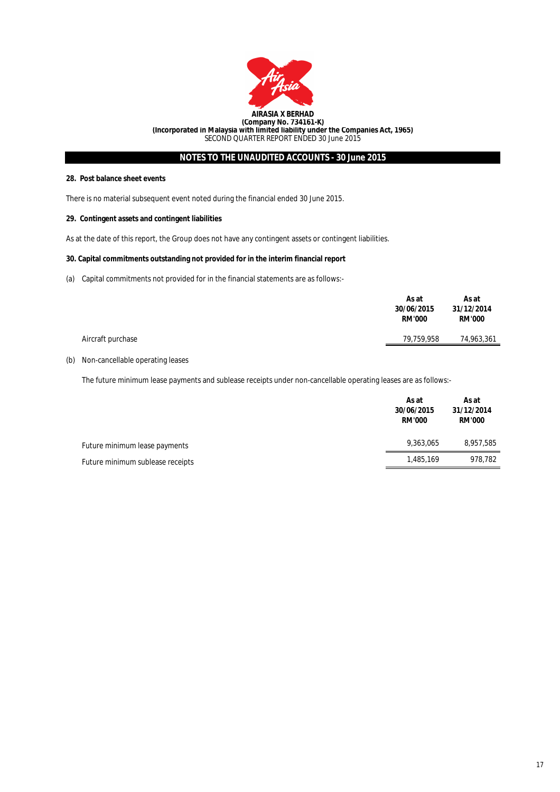

## **28. Post balance sheet events**

There is no material subsequent event noted during the financial ended 30 June 2015.

## **29. Contingent assets and contingent liabilities**

As at the date of this report, the Group does not have any contingent assets or contingent liabilities.

# **30. Capital commitments outstanding not provided for in the interim financial report**

(a) Capital commitments not provided for in the financial statements are as follows:-

|                   | As at<br>30/06/2015<br><b>RM'000</b> | As at<br>31/12/2014<br><b>RM'000</b> |  |
|-------------------|--------------------------------------|--------------------------------------|--|
| Aircraft purchase | 79,759,958                           | 74,963,361                           |  |
|                   |                                      |                                      |  |

# (b) Non-cancellable operating leases

The future minimum lease payments and sublease receipts under non-cancellable operating leases are as follows:-

| 30/06/2015<br>31/12/2014<br><b>RM'000</b>     | <b>RM'000</b> |
|-----------------------------------------------|---------------|
| 9.363.065<br>Future minimum lease payments    | 8,957,585     |
| 1.485.169<br>Future minimum sublease receipts | 978,782       |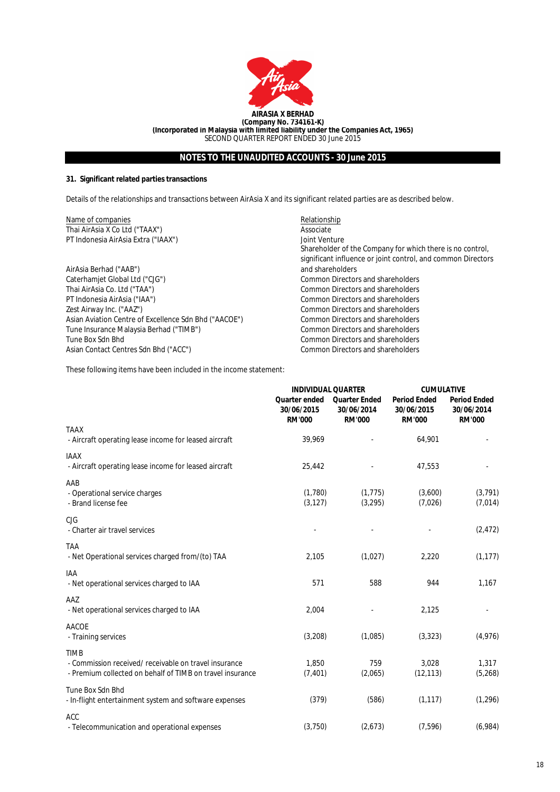

# **31. Significant related parties transactions**

Details of the relationships and transactions between AirAsia X and its significant related parties are as described below.

| Name of companies                                     | Relationship                                                                                                                               |
|-------------------------------------------------------|--------------------------------------------------------------------------------------------------------------------------------------------|
| Thai AirAsia X Co Ltd ("TAAX")                        | Associate                                                                                                                                  |
| PT Indonesia AirAsia Extra ("IAAX")                   | Joint Venture<br>Shareholder of the Company for which there is no control,<br>significant influence or joint control, and common Directors |
| AirAsia Berhad ("AAB")                                | and shareholders                                                                                                                           |
| Caterhamjet Global Ltd ("CJG")                        | Common Directors and shareholders                                                                                                          |
| Thai AirAsia Co. Ltd ("TAA")                          | Common Directors and shareholders                                                                                                          |
| PT Indonesia AirAsia ("IAA")                          | Common Directors and shareholders                                                                                                          |
| Zest Airway Inc. ("AAZ")                              | Common Directors and shareholders                                                                                                          |
| Asian Aviation Centre of Excellence Sdn Bhd ("AACOE") | Common Directors and shareholders                                                                                                          |
| Tune Insurance Malaysia Berhad ("TIMB")               | Common Directors and shareholders                                                                                                          |
| Tune Box Sdn Bhd                                      | Common Directors and shareholders                                                                                                          |
| Asian Contact Centres Sdn Bhd ("ACC")                 | Common Directors and shareholders                                                                                                          |

These following items have been included in the income statement:

|                                                                                                                                   | <b>INDIVIDUAL QUARTER</b>                           |                                                     | <b>CUMULATIVE</b>                                  |                                                    |
|-----------------------------------------------------------------------------------------------------------------------------------|-----------------------------------------------------|-----------------------------------------------------|----------------------------------------------------|----------------------------------------------------|
|                                                                                                                                   | <b>Quarter ended</b><br>30/06/2015<br><b>RM'000</b> | <b>Quarter Ended</b><br>30/06/2014<br><b>RM'000</b> | <b>Period Ended</b><br>30/06/2015<br><b>RM'000</b> | <b>Period Ended</b><br>30/06/2014<br><b>RM'000</b> |
| <b>TAAX</b><br>- Aircraft operating lease income for leased aircraft                                                              | 39,969                                              |                                                     | 64,901                                             |                                                    |
| <b>IAAX</b><br>- Aircraft operating lease income for leased aircraft                                                              | 25,442                                              |                                                     | 47,553                                             |                                                    |
| AAB<br>- Operational service charges<br>- Brand license fee                                                                       | (1,780)<br>(3, 127)                                 | (1, 775)<br>(3, 295)                                | (3,600)<br>(7,026)                                 | (3, 791)<br>(7,014)                                |
| CJG<br>- Charter air travel services                                                                                              |                                                     |                                                     |                                                    | (2, 472)                                           |
| <b>TAA</b><br>- Net Operational services charged from/(to) TAA                                                                    | 2,105                                               | (1,027)                                             | 2,220                                              | (1, 177)                                           |
| IAA<br>- Net operational services charged to IAA                                                                                  | 571                                                 | 588                                                 | 944                                                | 1,167                                              |
| AAZ<br>- Net operational services charged to IAA                                                                                  | 2,004                                               |                                                     | 2,125                                              |                                                    |
| <b>AACOE</b><br>- Training services                                                                                               | (3,208)                                             | (1,085)                                             | (3, 323)                                           | (4,976)                                            |
| <b>TIMB</b><br>- Commission received/ receivable on travel insurance<br>- Premium collected on behalf of TIMB on travel insurance | 1.850<br>(7, 401)                                   | 759<br>(2,065)                                      | 3,028<br>(12, 113)                                 | 1,317<br>(5,268)                                   |
| Tune Box Sdn Bhd<br>- In-flight entertainment system and software expenses                                                        | (379)                                               | (586)                                               | (1, 117)                                           | (1, 296)                                           |
| <b>ACC</b><br>- Telecommunication and operational expenses                                                                        | (3,750)                                             | (2,673)                                             | (7, 596)                                           | (6,984)                                            |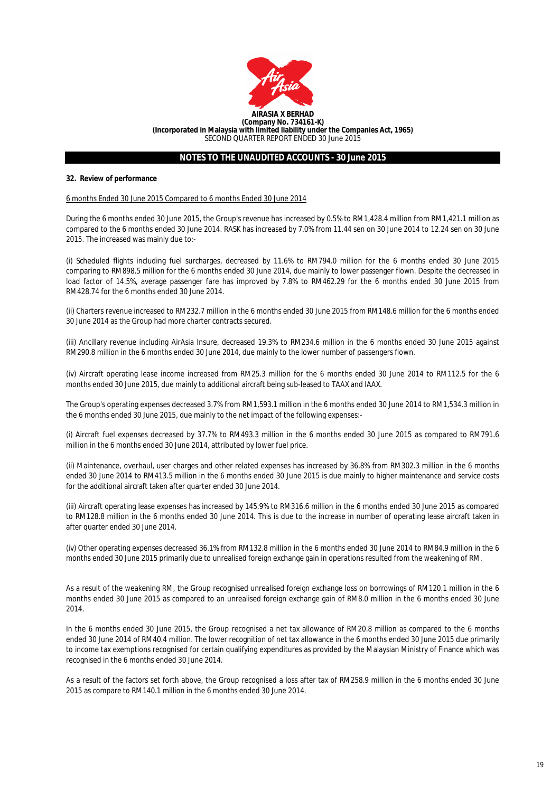

### **32. Review of performance**

### 6 months Ended 30 June 2015 Compared to 6 months Ended 30 June 2014

During the 6 months ended 30 June 2015, the Group's revenue has increased by 0.5% to RM1,428.4 million from RM1,421.1 million as compared to the 6 months ended 30 June 2014. RASK has increased by 7.0% from 11.44 sen on 30 June 2014 to 12.24 sen on 30 June 2015. The increased was mainly due to:-

(i) Scheduled flights including fuel surcharges, decreased by 11.6% to RM794.0 million for the 6 months ended 30 June 2015 comparing to RM898.5 million for the 6 months ended 30 June 2014, due mainly to lower passenger flown. Despite the decreased in load factor of 14.5%, average passenger fare has improved by 7.8% to RM462.29 for the 6 months ended 30 June 2015 from RM428.74 for the 6 months ended 30 June 2014.

(ii) Charters revenue increased to RM232.7 million in the 6 months ended 30 June 2015 from RM148.6 million for the 6 months ended 30 June 2014 as the Group had more charter contracts secured.

(iii) Ancillary revenue including AirAsia Insure, decreased 19.3% to RM234.6 million in the 6 months ended 30 June 2015 against RM290.8 million in the 6 months ended 30 June 2014, due mainly to the lower number of passengers flown.

(iv) Aircraft operating lease income increased from RM25.3 million for the 6 months ended 30 June 2014 to RM112.5 for the 6 months ended 30 June 2015, due mainly to additional aircraft being sub-leased to TAAX and IAAX.

The Group's operating expenses decreased 3.7% from RM1,593.1 million in the 6 months ended 30 June 2014 to RM1,534.3 million in the 6 months ended 30 June 2015, due mainly to the net impact of the following expenses:-

(i) Aircraft fuel expenses decreased by 37.7% to RM493.3 million in the 6 months ended 30 June 2015 as compared to RM791.6 million in the 6 months ended 30 June 2014, attributed by lower fuel price.

(ii) Maintenance, overhaul, user charges and other related expenses has increased by 36.8% from RM302.3 million in the 6 months ended 30 June 2014 to RM413.5 million in the 6 months ended 30 June 2015 is due mainly to higher maintenance and service costs for the additional aircraft taken after quarter ended 30 June 2014.

(iii) Aircraft operating lease expenses has increased by 145.9% to RM316.6 million in the 6 months ended 30 June 2015 as compared to RM128.8 million in the 6 months ended 30 June 2014. This is due to the increase in number of operating lease aircraft taken in after quarter ended 30 June 2014.

(iv) Other operating expenses decreased 36.1% from RM132.8 million in the 6 months ended 30 June 2014 to RM84.9 million in the 6 months ended 30 June 2015 primarily due to unrealised foreign exchange gain in operations resulted from the weakening of RM.

As a result of the weakening RM, the Group recognised unrealised foreign exchange loss on borrowings of RM120.1 million in the 6 months ended 30 June 2015 as compared to an unrealised foreign exchange gain of RM8.0 million in the 6 months ended 30 June 2014.

In the 6 months ended 30 June 2015, the Group recognised a net tax allowance of RM20.8 million as compared to the 6 months ended 30 June 2014 of RM40.4 million. The lower recognition of net tax allowance in the 6 months ended 30 June 2015 due primarily to income tax exemptions recognised for certain qualifying expenditures as provided by the Malaysian Ministry of Finance which was recognised in the 6 months ended 30 June 2014.

As a result of the factors set forth above, the Group recognised a loss after tax of RM258.9 million in the 6 months ended 30 June 2015 as compare to RM140.1 million in the 6 months ended 30 June 2014.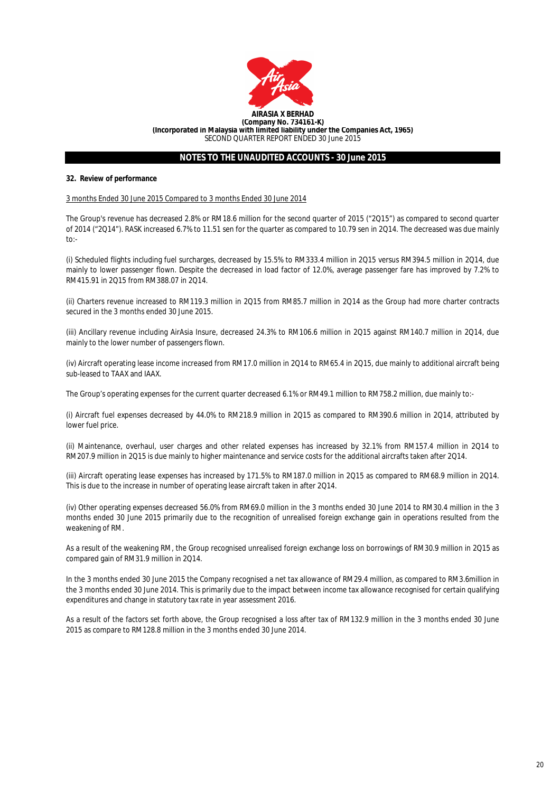

## **32. Review of performance**

## 3 months Ended 30 June 2015 Compared to 3 months Ended 30 June 2014

The Group's revenue has decreased 2.8% or RM18.6 million for the second quarter of 2015 ("2Q15") as compared to second quarter of 2014 ("2Q14"). RASK increased 6.7% to 11.51 sen for the quarter as compared to 10.79 sen in 2Q14. The decreased was due mainly to:-

(i) Scheduled flights including fuel surcharges, decreased by 15.5% to RM333.4 million in 2Q15 versus RM394.5 million in 2Q14, due mainly to lower passenger flown. Despite the decreased in load factor of 12.0%, average passenger fare has improved by 7.2% to RM415.91 in 2Q15 from RM388.07 in 2Q14.

(ii) Charters revenue increased to RM119.3 million in 2Q15 from RM85.7 million in 2Q14 as the Group had more charter contracts secured in the 3 months ended 30 June 2015.

(iii) Ancillary revenue including AirAsia Insure, decreased 24.3% to RM106.6 million in 2Q15 against RM140.7 million in 2Q14, due mainly to the lower number of passengers flown.

(iv) Aircraft operating lease income increased from RM17.0 million in 2Q14 to RM65.4 in 2Q15, due mainly to additional aircraft being sub-leased to TAAX and IAAX.

The Group's operating expenses for the current quarter decreased 6.1% or RM49.1 million to RM758.2 million, due mainly to:-

(i) Aircraft fuel expenses decreased by 44.0% to RM218.9 million in 2Q15 as compared to RM390.6 million in 2Q14, attributed by lower fuel price.

(ii) Maintenance, overhaul, user charges and other related expenses has increased by 32.1% from RM157.4 million in 2Q14 to RM207.9 million in 2Q15 is due mainly to higher maintenance and service costs for the additional aircrafts taken after 2Q14.

(iii) Aircraft operating lease expenses has increased by 171.5% to RM187.0 million in 2Q15 as compared to RM68.9 million in 2Q14. This is due to the increase in number of operating lease aircraft taken in after 2Q14.

(iv) Other operating expenses decreased 56.0% from RM69.0 million in the 3 months ended 30 June 2014 to RM30.4 million in the 3 months ended 30 June 2015 primarily due to the recognition of unrealised foreign exchange gain in operations resulted from the weakening of RM.

As a result of the weakening RM, the Group recognised unrealised foreign exchange loss on borrowings of RM30.9 million in 2Q15 as compared gain of RM31.9 million in 2Q14.

In the 3 months ended 30 June 2015 the Company recognised a net tax allowance of RM29.4 million, as compared to RM3.6million in the 3 months ended 30 June 2014. This is primarily due to the impact between income tax allowance recognised for certain qualifying expenditures and change in statutory tax rate in year assessment 2016.

As a result of the factors set forth above, the Group recognised a loss after tax of RM132.9 million in the 3 months ended 30 June 2015 as compare to RM128.8 million in the 3 months ended 30 June 2014.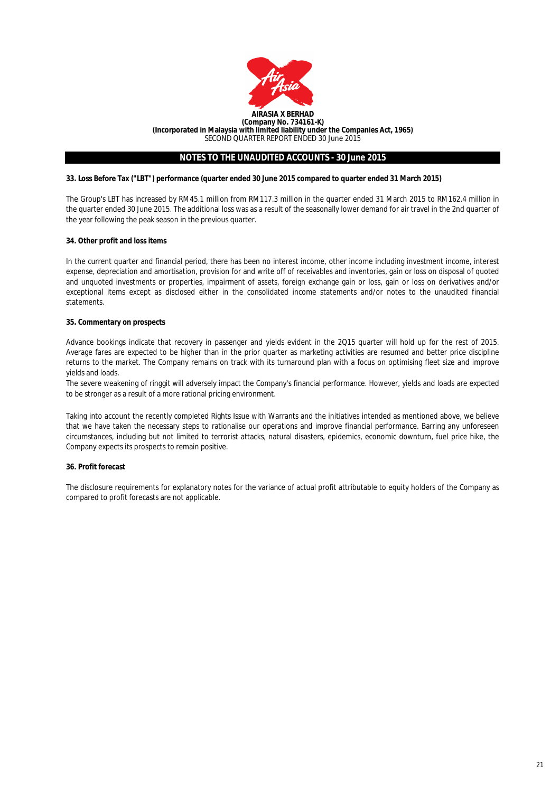

## **33. Loss Before Tax ("LBT") performance (quarter ended 30 June 2015 compared to quarter ended 31 March 2015)**

The Group's LBT has increased by RM45.1 million from RM117.3 million in the quarter ended 31 March 2015 to RM162.4 million in the quarter ended 30 June 2015. The additional loss was as a result of the seasonally lower demand for air travel in the 2nd quarter of the year following the peak season in the previous quarter.

## **34. Other profit and loss items**

In the current quarter and financial period, there has been no interest income, other income including investment income, interest expense, depreciation and amortisation, provision for and write off of receivables and inventories, gain or loss on disposal of quoted and unquoted investments or properties, impairment of assets, foreign exchange gain or loss, gain or loss on derivatives and/or exceptional items except as disclosed either in the consolidated income statements and/or notes to the unaudited financial statements.

## **35. Commentary on prospects**

Advance bookings indicate that recovery in passenger and yields evident in the 2Q15 quarter will hold up for the rest of 2015. Average fares are expected to be higher than in the prior quarter as marketing activities are resumed and better price discipline returns to the market. The Company remains on track with its turnaround plan with a focus on optimising fleet size and improve yields and loads.

The severe weakening of ringgit will adversely impact the Company's financial performance. However, yields and loads are expected to be stronger as a result of a more rational pricing environment.

Taking into account the recently completed Rights Issue with Warrants and the initiatives intended as mentioned above, we believe that we have taken the necessary steps to rationalise our operations and improve financial performance. Barring any unforeseen circumstances, including but not limited to terrorist attacks, natural disasters, epidemics, economic downturn, fuel price hike, the Company expects its prospects to remain positive.

## **36. Profit forecast**

The disclosure requirements for explanatory notes for the variance of actual profit attributable to equity holders of the Company as compared to profit forecasts are not applicable.